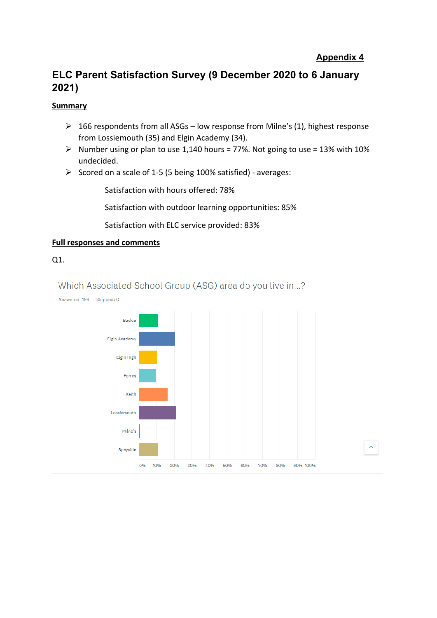### **Appendix 4**

## **ELC Parent Satisfaction Survey (9 December 2020 to 6 January 2021)**

#### **Summary**

- $\geq 166$  respondents from all ASGs low response from Milne's (1), highest response from Lossiemouth (35) and Elgin Academy (34).
- $\triangleright$  Number using or plan to use 1,140 hours = 77%. Not going to use = 13% with 10% undecided.
- ➢ Scored on a scale of 1-5 (5 being 100% satisfied) averages:

Satisfaction with hours offered: 78%

Satisfaction with outdoor learning opportunities: 85%

Satisfaction with ELC service provided: 83%

#### **Full responses and comments**



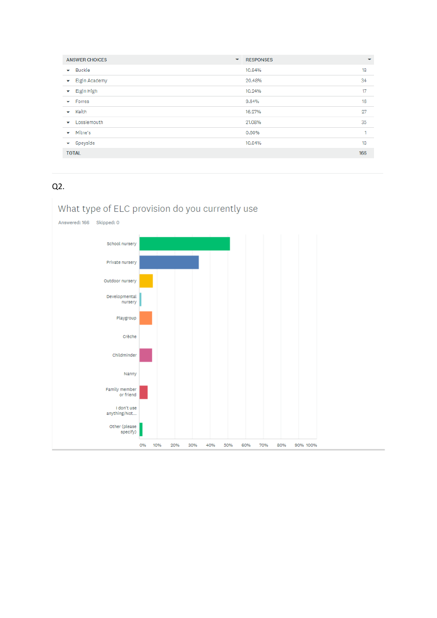| <b>ANSWER CHOICES</b><br>$\overline{\mathbf{v}}$ | <b>RESPONSES</b> | $\overline{\phantom{0}}$ |
|--------------------------------------------------|------------------|--------------------------|
| <b>Buckie</b><br>۰                               | 10.84%           | 18                       |
| <b>Elgin Academy</b><br>▼                        | 20.48%           | 34                       |
| Elgin High<br>v                                  | 10.24%           | 17                       |
| Forres<br>$\overline{\phantom{a}}$               | 9.64%            | 16                       |
| Keith<br>$\checkmark$                            | 16.27%           | 27                       |
| Lossiemouth<br>▼                                 | 21.08%           | 35                       |
| Milne's<br>۰                                     | 0.60%            | 1                        |
| Speyside<br>↽                                    | 10.84%           | 18                       |
| <b>TOTAL</b>                                     |                  | 166                      |

### Q2.

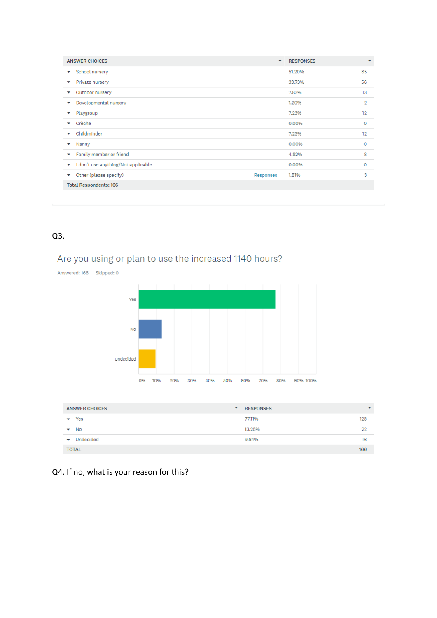| <b>ANSWER CHOICES</b>                    | $\overline{\phantom{a}}$ | <b>RESPONSES</b> | ٠  |
|------------------------------------------|--------------------------|------------------|----|
| School nursery<br>v                      |                          | 51.20%           | 85 |
| Private nursery<br>v                     |                          | 33,73%           | 56 |
| Outdoor nursery<br>▼                     |                          | 7.83%            | 13 |
| Developmental nursery<br>▼               |                          | 1.20%            | 2  |
| Playgroup                                |                          | 7.23%            | 12 |
| Crèche<br>$\checkmark$                   |                          | 0.00%            | 0  |
| Childminder<br>$\overline{\phantom{a}}$  |                          | 7.23%            | 12 |
| Nanny<br>v                               |                          | 0.00%            | 0  |
| Family member or friend<br>v             |                          | 4.82%            | 8  |
| I don't use anything/Not applicable<br>v |                          | 0.00%            | 0  |
| Other (please specify)<br>Responses<br>v |                          | 1,81%            | 3  |
| <b>Total Respondents: 166</b>            |                          |                  |    |

### Q3.

# Are you using or plan to use the increased 1140 hours?



| <b>ANSWER CHOICES</b>                 | <b>RESPONSES</b><br>$\overline{\phantom{a}}$ |     |
|---------------------------------------|----------------------------------------------|-----|
| Yes<br>▼                              | 77,11%                                       | 128 |
| $\blacktriangleright$ No              | 13,25%                                       | 22  |
| Undecided<br>$\overline{\phantom{a}}$ | 9.64%                                        | 16  |
| <b>TOTAL</b>                          |                                              | 166 |

# Q4. If no, what is your reason for this?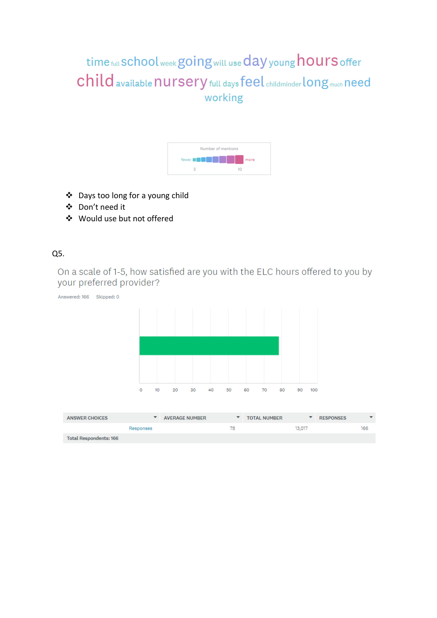# time full School week going will use day young hours offer Child available nursery full days feel childminder long much need working



- ❖ Days too long for a young child
- ❖ Don't need it
- ❖ Would use but not offered

### Q5.

On a scale of 1-5, how satisfied are you with the ELC hours offered to you by your preferred provider?

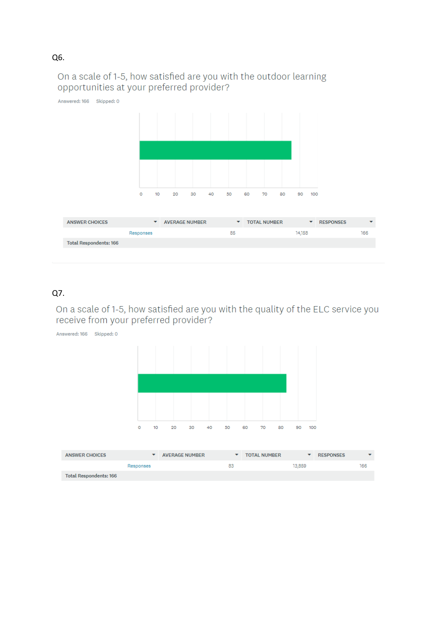### On a scale of 1-5, how satisfied are you with the outdoor learning opportunities at your preferred provider?



### Q7.

On a scale of 1-5, how satisfied are you with the quality of the ELC service you receive from your preferred provider?

Answered: 166 Skipped: 0  $\circ$  $10<sub>10</sub>$ 20 30 40 50 60 70 80  $90 - 100$ 

| <b>ANSWER CHOICES</b>  |           | AVERAGE NUMBER |    | <b>TOTAL NUMBER</b> |        | <b>RESPONSES</b> |     |
|------------------------|-----------|----------------|----|---------------------|--------|------------------|-----|
|                        | Responses |                | 83 |                     | 13,859 |                  | 166 |
| Total Respondents: 166 |           |                |    |                     |        |                  |     |

Q6.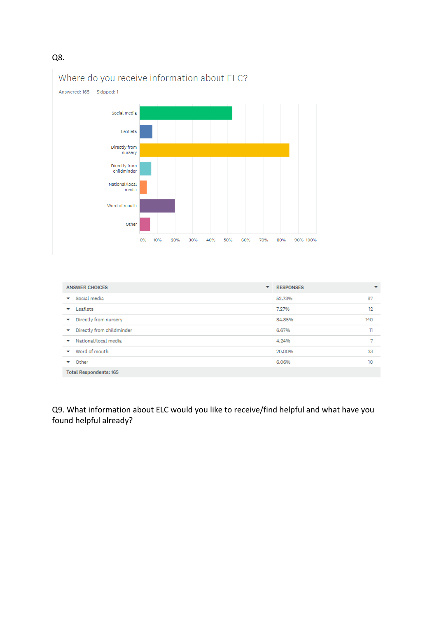#### Q8.



| <b>ANSWER CHOICES</b><br>▼             | <b>RESPONSES</b> | $\overline{\phantom{a}}$ |  |
|----------------------------------------|------------------|--------------------------|--|
| Social media<br>v                      | 52,73%           | 87                       |  |
| Leaflets<br>$\checkmark$               | 7.27%            | 12                       |  |
| Directly from nursery<br>v             | 84,85%           | 140                      |  |
| Directly from childminder<br>v         | 6.67%            | m                        |  |
| National/local media<br>v              | 4.24%            |                          |  |
| Word of mouth<br>$\tilde{\phantom{a}}$ | 20,00%           | 33                       |  |
| Other<br>$\tilde{\phantom{a}}$         | 6.06%            | 10                       |  |
| <b>Total Respondents: 165</b>          |                  |                          |  |

Q9. What information about ELC would you like to receive/find helpful and what have you found helpful already?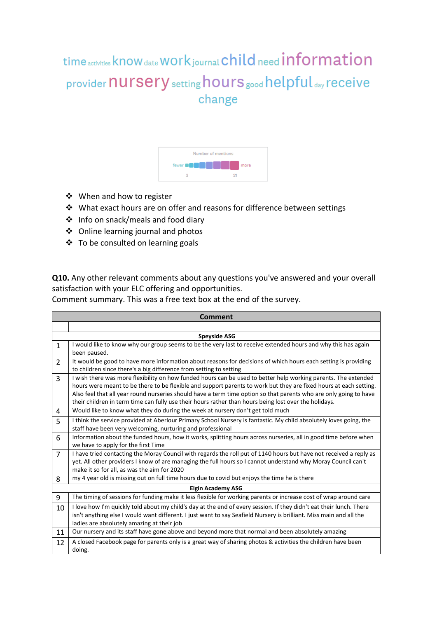time activities know date Work journal child need information provider **nursery** setting hours good helpful day receive change



- ❖ When and how to register
- ❖ What exact hours are on offer and reasons for difference between settings
- ❖ Info on snack/meals and food diary
- ❖ Online learning journal and photos
- ❖ To be consulted on learning goals

**Q10.** Any other relevant comments about any questions you've answered and your overall satisfaction with your ELC offering and opportunities.

Comment summary. This was a free text box at the end of the survey.

|                | <b>Comment</b>                                                                                                                                                                                                                                                                                                                                                                                                                                                    |  |  |  |  |
|----------------|-------------------------------------------------------------------------------------------------------------------------------------------------------------------------------------------------------------------------------------------------------------------------------------------------------------------------------------------------------------------------------------------------------------------------------------------------------------------|--|--|--|--|
|                |                                                                                                                                                                                                                                                                                                                                                                                                                                                                   |  |  |  |  |
|                | <b>Speyside ASG</b>                                                                                                                                                                                                                                                                                                                                                                                                                                               |  |  |  |  |
| $\mathbf{1}$   | I would like to know why our group seems to be the very last to receive extended hours and why this has again<br>been paused.                                                                                                                                                                                                                                                                                                                                     |  |  |  |  |
| $\mathcal{P}$  | It would be good to have more information about reasons for decisions of which hours each setting is providing<br>to children since there's a big difference from setting to setting                                                                                                                                                                                                                                                                              |  |  |  |  |
| 3              | I wish there was more flexibility on how funded hours can be used to better help working parents. The extended<br>hours were meant to be there to be flexible and support parents to work but they are fixed hours at each setting.<br>Also feel that all year round nurseries should have a term time option so that parents who are only going to have<br>their children in term time can fully use their hours rather than hours being lost over the holidays. |  |  |  |  |
| 4              | Would like to know what they do during the week at nursery don't get told much                                                                                                                                                                                                                                                                                                                                                                                    |  |  |  |  |
| 5              | I think the service provided at Aberlour Primary School Nursery is fantastic. My child absolutely loves going, the<br>staff have been very welcoming, nurturing and professional                                                                                                                                                                                                                                                                                  |  |  |  |  |
| 6              | Information about the funded hours, how it works, splitting hours across nurseries, all in good time before when<br>we have to apply for the first Time                                                                                                                                                                                                                                                                                                           |  |  |  |  |
| $\overline{7}$ | I have tried contacting the Moray Council with regards the roll put of 1140 hours but have not received a reply as<br>yet. All other providers I know of are managing the full hours so I cannot understand why Moray Council can't<br>make it so for all, as was the aim for 2020                                                                                                                                                                                |  |  |  |  |
| 8              | my 4 year old is missing out on full time hours due to covid but enjoys the time he is there                                                                                                                                                                                                                                                                                                                                                                      |  |  |  |  |
|                | <b>Elgin Academy ASG</b>                                                                                                                                                                                                                                                                                                                                                                                                                                          |  |  |  |  |
| 9              | The timing of sessions for funding make it less flexible for working parents or increase cost of wrap around care                                                                                                                                                                                                                                                                                                                                                 |  |  |  |  |
| 10             | I love how I'm quickly told about my child's day at the end of every session. If they didn't eat their lunch. There<br>isn't anything else I would want different. I just want to say Seafield Nursery is brilliant. Miss main and all the<br>ladies are absolutely amazing at their job                                                                                                                                                                          |  |  |  |  |
| 11             | Our nursery and its staff have gone above and beyond more that normal and been absolutely amazing                                                                                                                                                                                                                                                                                                                                                                 |  |  |  |  |
| 12             | A closed Facebook page for parents only is a great way of sharing photos & activities the children have been<br>doing.                                                                                                                                                                                                                                                                                                                                            |  |  |  |  |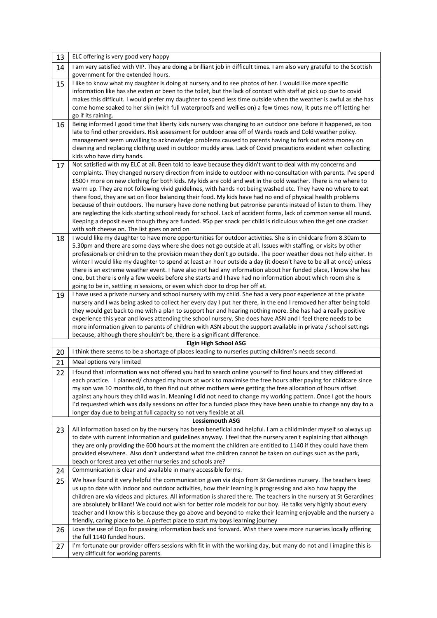| 13 | ELC offering is very good very happy                                                                                                                                                                                                                                                                                                                                                                                                                                                                                                                                                                                                                                                                                                                                                                                                                                                                                                                                                 |
|----|--------------------------------------------------------------------------------------------------------------------------------------------------------------------------------------------------------------------------------------------------------------------------------------------------------------------------------------------------------------------------------------------------------------------------------------------------------------------------------------------------------------------------------------------------------------------------------------------------------------------------------------------------------------------------------------------------------------------------------------------------------------------------------------------------------------------------------------------------------------------------------------------------------------------------------------------------------------------------------------|
| 14 | I am very satisfied with VIP. They are doing a brilliant job in difficult times. I am also very grateful to the Scottish<br>government for the extended hours.                                                                                                                                                                                                                                                                                                                                                                                                                                                                                                                                                                                                                                                                                                                                                                                                                       |
| 15 | I like to know what my daughter is doing at nursery and to see photos of her. I would like more specific<br>information like has she eaten or been to the toilet, but the lack of contact with staff at pick up due to covid<br>makes this difficult. I would prefer my daughter to spend less time outside when the weather is awful as she has<br>come home soaked to her skin (with full waterproofs and wellies on) a few times now, it puts me off letting her<br>go if its raining.                                                                                                                                                                                                                                                                                                                                                                                                                                                                                            |
| 16 | Being informed I good time that liberty kids nursery was changing to an outdoor one before it happened, as too<br>late to find other providers. Risk assessment for outdoor area off of Wards roads and Cold weather policy.<br>management seem unwilling to acknowledge problems caused to parents having to fork out extra money on<br>cleaning and replacing clothing used in outdoor muddy area. Lack of Covid precautions evident when collecting<br>kids who have dirty hands.                                                                                                                                                                                                                                                                                                                                                                                                                                                                                                 |
| 17 | Not satisfied with my ELC at all. Been told to leave because they didn't want to deal with my concerns and<br>complaints. They changed nursery direction from inside to outdoor with no consultation with parents. I've spend<br>£500+ more on new clothing for both kids. My kids are cold and wet in the cold weather. There is no where to<br>warm up. They are not following vivid guidelines, with hands not being washed etc. They have no where to eat<br>there food, they are sat on floor balancing their food. My kids have had no end of physical health problems<br>because of their outdoors. The nursery have done nothing but patronise parents instead of listen to them. They<br>are neglecting the kids starting school ready for school. Lack of accident forms, lack of common sense all round.<br>Keeping a deposit even though they are funded. 95p per snack per child is ridiculous when the get one cracker<br>with soft cheese on. The list goes on and on |
| 18 | I would like my daughter to have more opportunities for outdoor activities. She is in childcare from 8.30am to<br>5.30pm and there are some days where she does not go outside at all. Issues with staffing, or visits by other<br>professionals or children to the provision mean they don't go outside. The poor weather does not help either. In<br>winter I would like my daughter to spend at least an hour outside a day (it doesn't have to be all at once) unless<br>there is an extreme weather event. I have also not had any information about her funded place, I know she has<br>one, but there is only a few weeks before she starts and I have had no information about which room she is<br>going to be in, settling in sessions, or even which door to drop her off at.                                                                                                                                                                                             |
| 19 | I have used a private nursery and school nursery with my child. She had a very poor experience at the private<br>nursery and I was being asked to collect her every day I put her there, in the end I removed her after being told<br>they would get back to me with a plan to support her and hearing nothing more. She has had a really positive<br>experience this year and loves attending the school nursery. She does have ASN and I feel there needs to be<br>more information given to parents of children with ASN about the support available in private / school settings<br>because, although there shouldn't be, there is a significant difference.                                                                                                                                                                                                                                                                                                                     |
|    | <b>Elgin High School ASG</b>                                                                                                                                                                                                                                                                                                                                                                                                                                                                                                                                                                                                                                                                                                                                                                                                                                                                                                                                                         |
| 20 | I think there seems to be a shortage of places leading to nurseries putting children's needs second.                                                                                                                                                                                                                                                                                                                                                                                                                                                                                                                                                                                                                                                                                                                                                                                                                                                                                 |
| 21 | Meal options very limited                                                                                                                                                                                                                                                                                                                                                                                                                                                                                                                                                                                                                                                                                                                                                                                                                                                                                                                                                            |
| 22 | I found that information was not offered you had to search online yourself to find hours and they differed at<br>each practice. I planned/changed my hours at work to maximise the free hours after paying for childcare since<br>my son was 10 months old, to then find out other mothers were getting the free allocation of hours offset<br>against any hours they child was in. Meaning I did not need to change my working pattern. Once I got the hours<br>I'd requested which was daily sessions on offer for a funded place they have been unable to change any day to a<br>longer day due to being at full capacity so not very flexible at all.                                                                                                                                                                                                                                                                                                                            |
| 23 | <b>Lossiemouth ASG</b><br>All information based on by the nursery has been beneficial and helpful. I am a childminder myself so always up                                                                                                                                                                                                                                                                                                                                                                                                                                                                                                                                                                                                                                                                                                                                                                                                                                            |
|    | to date with current information and guidelines anyway. I feel that the nursery aren't explaining that although<br>they are only providing the 600 hours at the moment the children are entitled to 1140 if they could have them<br>provided elsewhere. Also don't understand what the children cannot be taken on outings such as the park,<br>beach or forest area yet other nurseries and schools are?                                                                                                                                                                                                                                                                                                                                                                                                                                                                                                                                                                            |
| 24 | Communication is clear and available in many accessible forms.                                                                                                                                                                                                                                                                                                                                                                                                                                                                                                                                                                                                                                                                                                                                                                                                                                                                                                                       |
| 25 | We have found it very helpful the communication given via dojo from St Gerardines nursery. The teachers keep<br>us up to date with indoor and outdoor activities, how their learning is progressing and also how happy the<br>children are via videos and pictures. All information is shared there. The teachers in the nursery at St Gerardines<br>are absolutely brilliant! We could not wish for better role models for our boy. He talks very highly about every<br>teacher and I know this is because they go above and beyond to make their learning enjoyable and the nursery a<br>friendly, caring place to be. A perfect place to start my boys learning journey                                                                                                                                                                                                                                                                                                           |
| 26 | Love the use of Dojo for passing information back and forward. Wish there were more nurseries locally offering<br>the full 1140 funded hours.                                                                                                                                                                                                                                                                                                                                                                                                                                                                                                                                                                                                                                                                                                                                                                                                                                        |
| 27 | I'm fortunate our provider offers sessions with fit in with the working day, but many do not and I imagine this is<br>very difficult for working parents.                                                                                                                                                                                                                                                                                                                                                                                                                                                                                                                                                                                                                                                                                                                                                                                                                            |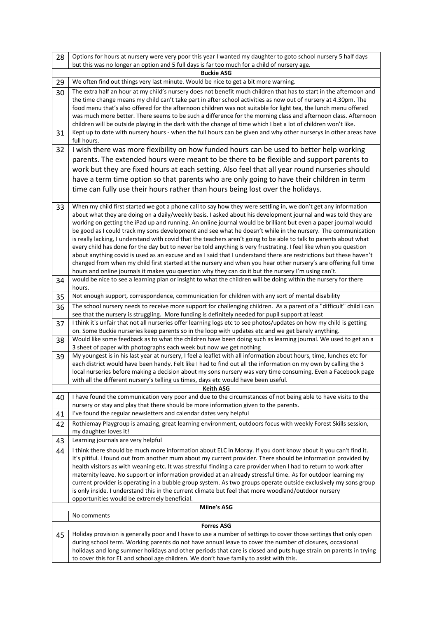| 28 | Options for hours at nursery were very poor this year I wanted my daughter to goto school nursery 5 half days<br>but this was no longer an option and 5 full days is far too much for a child of nursery age.                          |
|----|----------------------------------------------------------------------------------------------------------------------------------------------------------------------------------------------------------------------------------------|
|    | <b>Buckie ASG</b>                                                                                                                                                                                                                      |
| 29 | We often find out things very last minute. Would be nice to get a bit more warning.                                                                                                                                                    |
| 30 | The extra half an hour at my child's nursery does not benefit much children that has to start in the afternoon and                                                                                                                     |
|    | the time change means my child can't take part in after school activities as now out of nursery at 4.30pm. The                                                                                                                         |
|    | food menu that's also offered for the afternoon children was not suitable for light tea, the lunch menu offered<br>was much more better. There seems to be such a difference for the morning class and afternoon class. Afternoon      |
|    | children will be outside playing in the dark with the change of time which I bet a lot of children won't like.                                                                                                                         |
| 31 | Kept up to date with nursery hours - when the full hours can be given and why other nurserys in other areas have                                                                                                                       |
|    | full hours.                                                                                                                                                                                                                            |
| 32 | I wish there was more flexibility on how funded hours can be used to better help working                                                                                                                                               |
|    | parents. The extended hours were meant to be there to be flexible and support parents to                                                                                                                                               |
|    | work but they are fixed hours at each setting. Also feel that all year round nurseries should                                                                                                                                          |
|    | have a term time option so that parents who are only going to have their children in term                                                                                                                                              |
|    | time can fully use their hours rather than hours being lost over the holidays.                                                                                                                                                         |
|    |                                                                                                                                                                                                                                        |
| 33 | When my child first started we got a phone call to say how they were settling in, we don't get any information<br>about what they are doing on a daily/weekly basis. I asked about his development journal and was told they are       |
|    | working on getting the iPad up and running. An online journal would be brilliant but even a paper journal would                                                                                                                        |
|    | be good as I could track my sons development and see what he doesn't while in the nursery. The communication                                                                                                                           |
|    | is really lacking, I understand with covid that the teachers aren't going to be able to talk to parents about what                                                                                                                     |
|    | every child has done for the day but to never be told anything is very frustrating. I feel like when you question                                                                                                                      |
|    | about anything covid is used as an excuse and as I said that I understand there are restrictions but these haven't<br>changed from when my child first started at the nursery and when you hear other nursery's are offering full time |
|    | hours and online journals it makes you question why they can do it but the nursery I'm using can't.                                                                                                                                    |
| 34 | would be nice to see a learning plan or insight to what the children will be doing within the nursery for there                                                                                                                        |
|    | hours.                                                                                                                                                                                                                                 |
| 35 | Not enough support, correspondence, communication for children with any sort of mental disability                                                                                                                                      |
| 36 | The school nursery needs to receive more support for challenging children. As a parent of a "difficult" child i can                                                                                                                    |
|    | see that the nursery is struggling. More funding is definitely needed for pupil support at least<br>I think it's unfair that not all nurseries offer learning logs etc to see photos/updates on how my child is getting                |
| 37 | on. Some Buckie nurseries keep parents so in the loop with updates etc and we get barely anything.                                                                                                                                     |
| 38 | Would like some feedback as to what the children have been doing such as learning journal. We used to get an a                                                                                                                         |
|    | 3 sheet of paper with photographs each week but now we get nothing                                                                                                                                                                     |
| 39 | My youngest is in his last year at nursery, I feel a leaflet with all information about hours, time, lunches etc for                                                                                                                   |
|    | each district would have been handy. Felt like I had to find out all the information on my own by calling the 3<br>local nurseries before making a decision about my sons nursery was very time consuming. Even a Facebook page        |
|    | with all the different nursery's telling us times, days etc would have been useful.                                                                                                                                                    |
|    | <b>Keith ASG</b>                                                                                                                                                                                                                       |
| 40 | I have found the communication very poor and due to the circumstances of not being able to have visits to the                                                                                                                          |
|    | nursery or stay and play that there should be more information given to the parents.                                                                                                                                                   |
| 41 | I've found the regular newsletters and calendar dates very helpful                                                                                                                                                                     |
| 42 | Rothiemay Playgroup is amazing, great learning environment, outdoors focus with weekly Forest Skills session,<br>my daughter loves it!                                                                                                 |
| 43 | Learning journals are very helpful                                                                                                                                                                                                     |
| 44 | I think there should be much more information about ELC in Moray. If you dont know about it you can't find it.                                                                                                                         |
|    | It's pitiful. I found out from another mum about my current provider. There should be information provided by                                                                                                                          |
|    | health visitors as with weaning etc. It was stressful finding a care provider when I had to return to work after<br>maternity leave. No support or information provided at an already stressful time. As for outdoor learning my       |
|    | current provider is operating in a bubble group system. As two groups operate outside exclusively my sons group                                                                                                                        |
|    | is only inside. I understand this in the current climate but feel that more woodland/outdoor nursery                                                                                                                                   |
|    | opportunities would be extremely beneficial.                                                                                                                                                                                           |
|    | <b>Milne's ASG</b>                                                                                                                                                                                                                     |
|    | No comments                                                                                                                                                                                                                            |
| 45 | <b>Forres ASG</b><br>Holiday provision is generally poor and I have to use a number of settings to cover those settings that only open                                                                                                 |
|    | during school term. Working parents do not have annual leave to cover the number of closures, occasional                                                                                                                               |
|    | holidays and long summer holidays and other periods that care is closed and puts huge strain on parents in trying                                                                                                                      |
|    | to cover this for EL and school age children. We don't have family to assist with this.                                                                                                                                                |